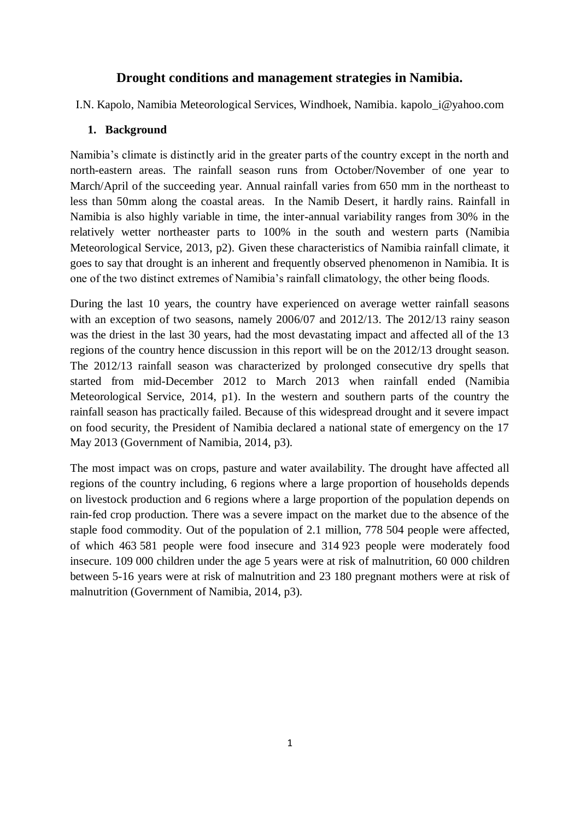# **Drought conditions and management strategies in Namibia.**

I.N. Kapolo, Namibia Meteorological Services, Windhoek, Namibia. kapolo\_i@yahoo.com

## **1. Background**

Namibia's climate is distinctly arid in the greater parts of the country except in the north and north-eastern areas. The rainfall season runs from October/November of one year to March/April of the succeeding year. Annual rainfall varies from 650 mm in the northeast to less than 50mm along the coastal areas. In the Namib Desert, it hardly rains. Rainfall in Namibia is also highly variable in time, the inter-annual variability ranges from 30% in the relatively wetter northeaster parts to 100% in the south and western parts (Namibia Meteorological Service, 2013, p2). Given these characteristics of Namibia rainfall climate, it goes to say that drought is an inherent and frequently observed phenomenon in Namibia. It is one of the two distinct extremes of Namibia's rainfall climatology, the other being floods.

During the last 10 years, the country have experienced on average wetter rainfall seasons with an exception of two seasons, namely 2006/07 and 2012/13. The 2012/13 rainy season was the driest in the last 30 years, had the most devastating impact and affected all of the 13 regions of the country hence discussion in this report will be on the 2012/13 drought season. The 2012/13 rainfall season was characterized by prolonged consecutive dry spells that started from mid-December 2012 to March 2013 when rainfall ended (Namibia Meteorological Service, 2014, p1). In the western and southern parts of the country the rainfall season has practically failed. Because of this widespread drought and it severe impact on food security, the President of Namibia declared a national state of emergency on the 17 May 2013 (Government of Namibia, 2014, p3).

The most impact was on crops, pasture and water availability. The drought have affected all regions of the country including, 6 regions where a large proportion of households depends on livestock production and 6 regions where a large proportion of the population depends on rain-fed crop production. There was a severe impact on the market due to the absence of the staple food commodity. Out of the population of 2.1 million, 778 504 people were affected, of which 463 581 people were food insecure and 314 923 people were moderately food insecure. 109 000 children under the age 5 years were at risk of malnutrition, 60 000 children between 5-16 years were at risk of malnutrition and 23 180 pregnant mothers were at risk of malnutrition (Government of Namibia, 2014, p3).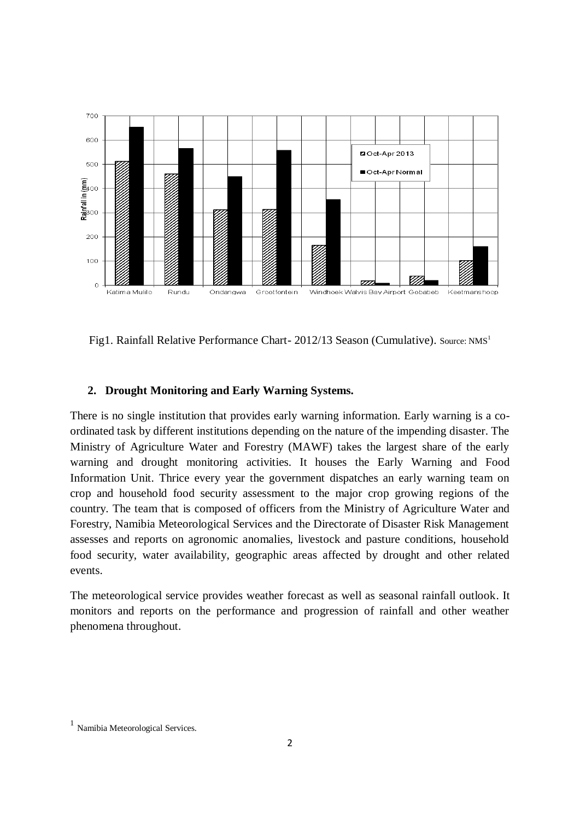

Fig1. Rainfall Relative Performance Chart- 2012/13 Season (Cumulative). Source: NMS<sup>1</sup>

#### **2. Drought Monitoring and Early Warning Systems.**

There is no single institution that provides early warning information. Early warning is a coordinated task by different institutions depending on the nature of the impending disaster. The Ministry of Agriculture Water and Forestry (MAWF) takes the largest share of the early warning and drought monitoring activities. It houses the Early Warning and Food Information Unit. Thrice every year the government dispatches an early warning team on crop and household food security assessment to the major crop growing regions of the country. The team that is composed of officers from the Ministry of Agriculture Water and Forestry, Namibia Meteorological Services and the Directorate of Disaster Risk Management assesses and reports on agronomic anomalies, livestock and pasture conditions, household food security, water availability, geographic areas affected by drought and other related events.

The meteorological service provides weather forecast as well as seasonal rainfall outlook. It monitors and reports on the performance and progression of rainfall and other weather phenomena throughout.

<sup>1</sup> Namibia Meteorological Services.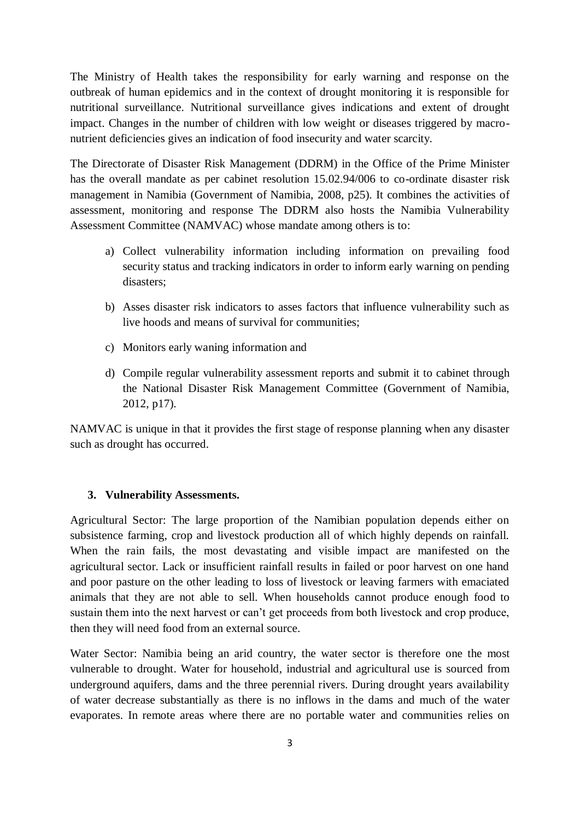The Ministry of Health takes the responsibility for early warning and response on the outbreak of human epidemics and in the context of drought monitoring it is responsible for nutritional surveillance. Nutritional surveillance gives indications and extent of drought impact. Changes in the number of children with low weight or diseases triggered by macronutrient deficiencies gives an indication of food insecurity and water scarcity.

The Directorate of Disaster Risk Management (DDRM) in the Office of the Prime Minister has the overall mandate as per cabinet resolution 15.02.94/006 to co-ordinate disaster risk management in Namibia (Government of Namibia, 2008, p25). It combines the activities of assessment, monitoring and response The DDRM also hosts the Namibia Vulnerability Assessment Committee (NAMVAC) whose mandate among others is to:

- a) Collect vulnerability information including information on prevailing food security status and tracking indicators in order to inform early warning on pending disasters;
- b) Asses disaster risk indicators to asses factors that influence vulnerability such as live hoods and means of survival for communities;
- c) Monitors early waning information and
- d) Compile regular vulnerability assessment reports and submit it to cabinet through the National Disaster Risk Management Committee (Government of Namibia, 2012, p17).

NAMVAC is unique in that it provides the first stage of response planning when any disaster such as drought has occurred.

#### **3. Vulnerability Assessments.**

Agricultural Sector: The large proportion of the Namibian population depends either on subsistence farming, crop and livestock production all of which highly depends on rainfall. When the rain fails, the most devastating and visible impact are manifested on the agricultural sector. Lack or insufficient rainfall results in failed or poor harvest on one hand and poor pasture on the other leading to loss of livestock or leaving farmers with emaciated animals that they are not able to sell. When households cannot produce enough food to sustain them into the next harvest or can't get proceeds from both livestock and crop produce, then they will need food from an external source.

Water Sector: Namibia being an arid country, the water sector is therefore one the most vulnerable to drought. Water for household, industrial and agricultural use is sourced from underground aquifers, dams and the three perennial rivers. During drought years availability of water decrease substantially as there is no inflows in the dams and much of the water evaporates. In remote areas where there are no portable water and communities relies on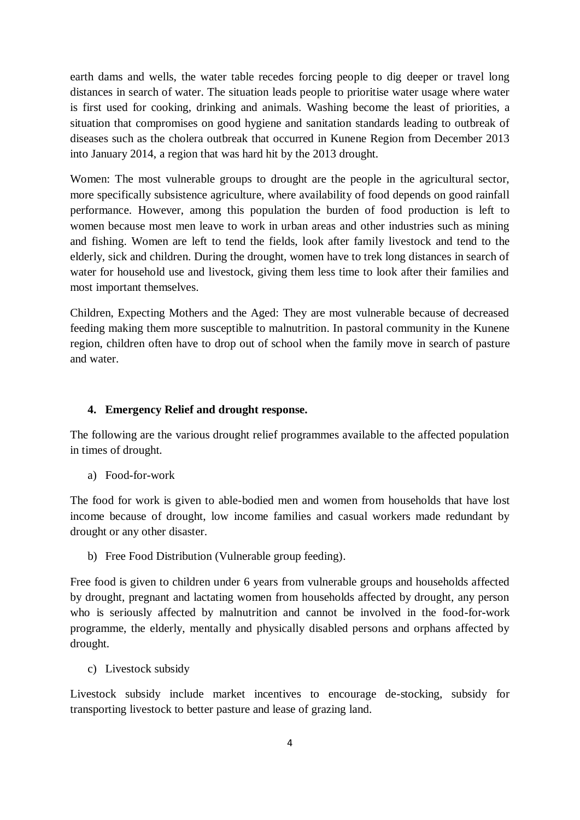earth dams and wells, the water table recedes forcing people to dig deeper or travel long distances in search of water. The situation leads people to prioritise water usage where water is first used for cooking, drinking and animals. Washing become the least of priorities, a situation that compromises on good hygiene and sanitation standards leading to outbreak of diseases such as the cholera outbreak that occurred in Kunene Region from December 2013 into January 2014, a region that was hard hit by the 2013 drought.

Women: The most vulnerable groups to drought are the people in the agricultural sector, more specifically subsistence agriculture, where availability of food depends on good rainfall performance. However, among this population the burden of food production is left to women because most men leave to work in urban areas and other industries such as mining and fishing. Women are left to tend the fields, look after family livestock and tend to the elderly, sick and children. During the drought, women have to trek long distances in search of water for household use and livestock, giving them less time to look after their families and most important themselves.

Children, Expecting Mothers and the Aged: They are most vulnerable because of decreased feeding making them more susceptible to malnutrition. In pastoral community in the Kunene region, children often have to drop out of school when the family move in search of pasture and water.

### **4. Emergency Relief and drought response.**

The following are the various drought relief programmes available to the affected population in times of drought.

a) Food-for-work

The food for work is given to able-bodied men and women from households that have lost income because of drought, low income families and casual workers made redundant by drought or any other disaster.

b) Free Food Distribution (Vulnerable group feeding).

Free food is given to children under 6 years from vulnerable groups and households affected by drought, pregnant and lactating women from households affected by drought, any person who is seriously affected by malnutrition and cannot be involved in the food-for-work programme, the elderly, mentally and physically disabled persons and orphans affected by drought.

c) Livestock subsidy

Livestock subsidy include market incentives to encourage de-stocking, subsidy for transporting livestock to better pasture and lease of grazing land.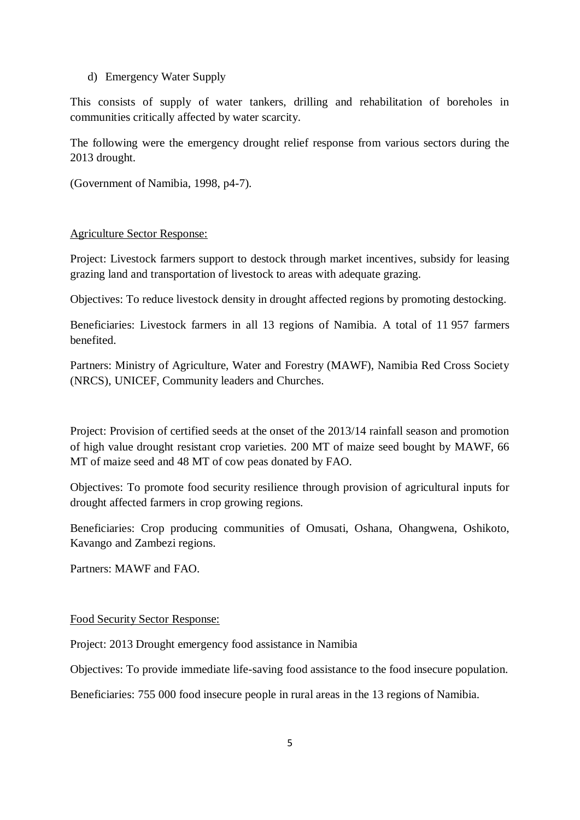### d) Emergency Water Supply

This consists of supply of water tankers, drilling and rehabilitation of boreholes in communities critically affected by water scarcity.

The following were the emergency drought relief response from various sectors during the 2013 drought.

(Government of Namibia, 1998, p4-7).

## Agriculture Sector Response:

Project: Livestock farmers support to destock through market incentives, subsidy for leasing grazing land and transportation of livestock to areas with adequate grazing.

Objectives: To reduce livestock density in drought affected regions by promoting destocking.

Beneficiaries: Livestock farmers in all 13 regions of Namibia. A total of 11 957 farmers benefited.

Partners: Ministry of Agriculture, Water and Forestry (MAWF), Namibia Red Cross Society (NRCS), UNICEF, Community leaders and Churches.

Project: Provision of certified seeds at the onset of the 2013/14 rainfall season and promotion of high value drought resistant crop varieties. 200 MT of maize seed bought by MAWF, 66 MT of maize seed and 48 MT of cow peas donated by FAO.

Objectives: To promote food security resilience through provision of agricultural inputs for drought affected farmers in crop growing regions.

Beneficiaries: Crop producing communities of Omusati, Oshana, Ohangwena, Oshikoto, Kavango and Zambezi regions.

Partners: MAWF and FAO.

## Food Security Sector Response:

Project: 2013 Drought emergency food assistance in Namibia

Objectives: To provide immediate life-saving food assistance to the food insecure population.

Beneficiaries: 755 000 food insecure people in rural areas in the 13 regions of Namibia.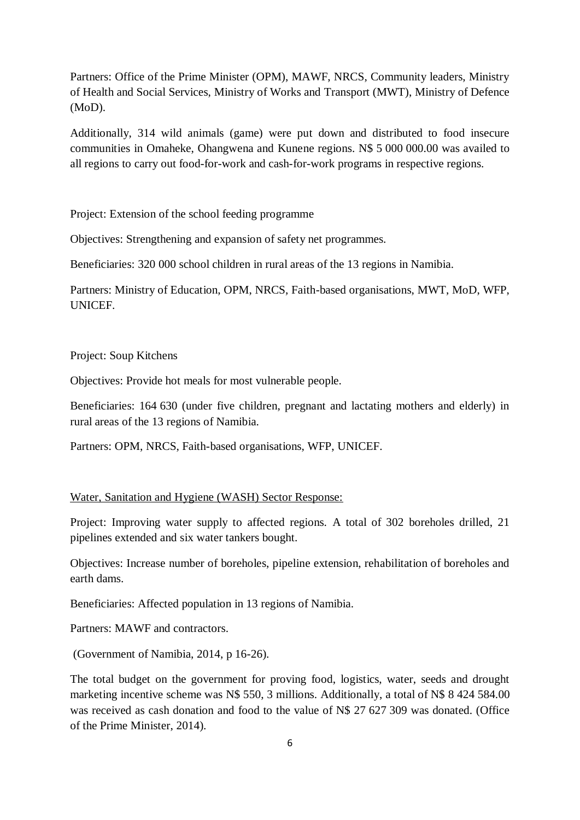Partners: Office of the Prime Minister (OPM), MAWF, NRCS, Community leaders, Ministry of Health and Social Services, Ministry of Works and Transport (MWT), Ministry of Defence (MoD).

Additionally, 314 wild animals (game) were put down and distributed to food insecure communities in Omaheke, Ohangwena and Kunene regions. N\$ 5 000 000.00 was availed to all regions to carry out food-for-work and cash-for-work programs in respective regions.

Project: Extension of the school feeding programme

Objectives: Strengthening and expansion of safety net programmes.

Beneficiaries: 320 000 school children in rural areas of the 13 regions in Namibia.

Partners: Ministry of Education, OPM, NRCS, Faith-based organisations, MWT, MoD, WFP, UNICEF.

#### Project: Soup Kitchens

Objectives: Provide hot meals for most vulnerable people.

Beneficiaries: 164 630 (under five children, pregnant and lactating mothers and elderly) in rural areas of the 13 regions of Namibia.

Partners: OPM, NRCS, Faith-based organisations, WFP, UNICEF.

### Water, Sanitation and Hygiene (WASH) Sector Response:

Project: Improving water supply to affected regions. A total of 302 boreholes drilled, 21 pipelines extended and six water tankers bought.

Objectives: Increase number of boreholes, pipeline extension, rehabilitation of boreholes and earth dams.

Beneficiaries: Affected population in 13 regions of Namibia.

Partners: MAWF and contractors.

(Government of Namibia, 2014, p 16-26).

The total budget on the government for proving food, logistics, water, seeds and drought marketing incentive scheme was N\$ 550, 3 millions. Additionally, a total of N\$ 8 424 584.00 was received as cash donation and food to the value of N\$ 27 627 309 was donated. (Office of the Prime Minister, 2014).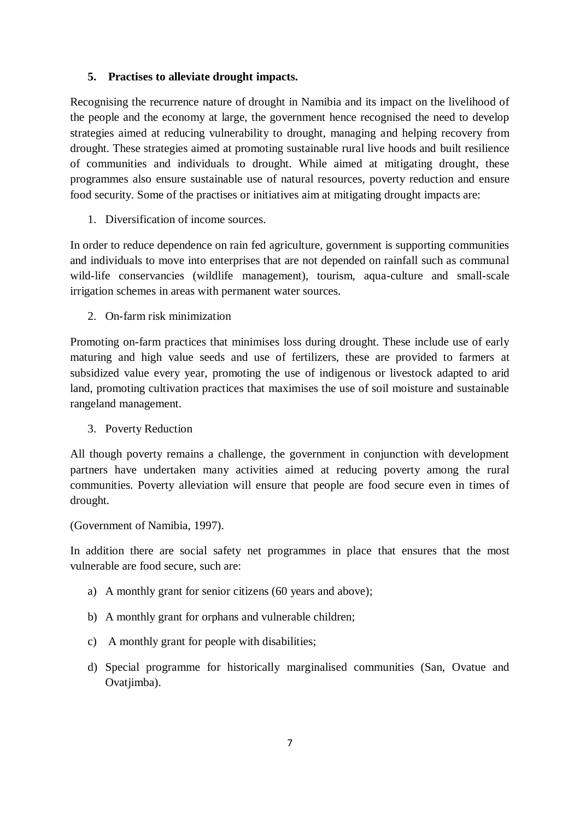### **5. Practises to alleviate drought impacts.**

Recognising the recurrence nature of drought in Namibia and its impact on the livelihood of the people and the economy at large, the government hence recognised the need to develop strategies aimed at reducing vulnerability to drought, managing and helping recovery from drought. These strategies aimed at promoting sustainable rural live hoods and built resilience of communities and individuals to drought. While aimed at mitigating drought, these programmes also ensure sustainable use of natural resources, poverty reduction and ensure food security. Some of the practises or initiatives aim at mitigating drought impacts are:

1. Diversification of income sources.

In order to reduce dependence on rain fed agriculture, government is supporting communities and individuals to move into enterprises that are not depended on rainfall such as communal wild-life conservancies (wildlife management), tourism, aqua-culture and small-scale irrigation schemes in areas with permanent water sources.

2. On-farm risk minimization

Promoting on-farm practices that minimises loss during drought. These include use of early maturing and high value seeds and use of fertilizers, these are provided to farmers at subsidized value every year, promoting the use of indigenous or livestock adapted to arid land, promoting cultivation practices that maximises the use of soil moisture and sustainable rangeland management.

3. Poverty Reduction

All though poverty remains a challenge, the government in conjunction with development partners have undertaken many activities aimed at reducing poverty among the rural communities. Poverty alleviation will ensure that people are food secure even in times of drought.

(Government of Namibia, 1997).

In addition there are social safety net programmes in place that ensures that the most vulnerable are food secure, such are:

- a) A monthly grant for senior citizens (60 years and above);
- b) A monthly grant for orphans and vulnerable children;
- c) A monthly grant for people with disabilities;
- d) Special programme for historically marginalised communities (San, Ovatue and Ovatjimba).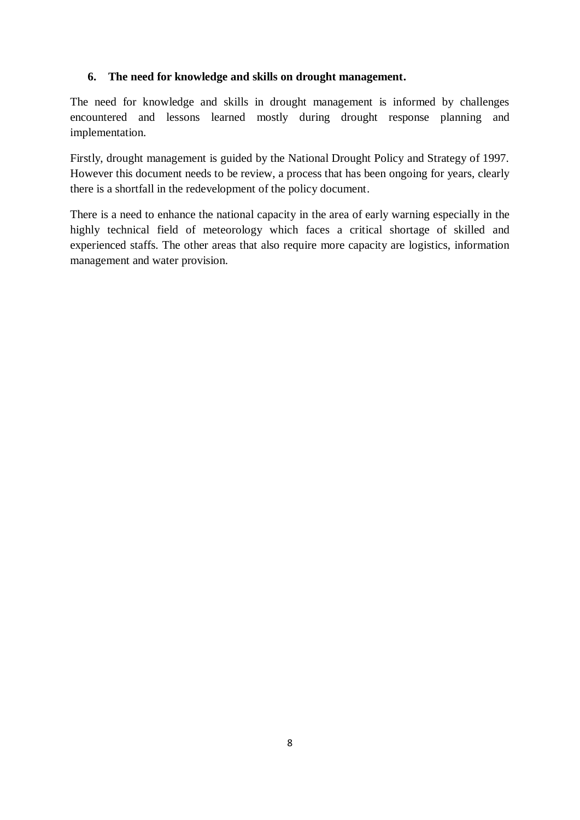## **6. The need for knowledge and skills on drought management.**

The need for knowledge and skills in drought management is informed by challenges encountered and lessons learned mostly during drought response planning and implementation.

Firstly, drought management is guided by the National Drought Policy and Strategy of 1997. However this document needs to be review, a process that has been ongoing for years, clearly there is a shortfall in the redevelopment of the policy document.

There is a need to enhance the national capacity in the area of early warning especially in the highly technical field of meteorology which faces a critical shortage of skilled and experienced staffs. The other areas that also require more capacity are logistics, information management and water provision.